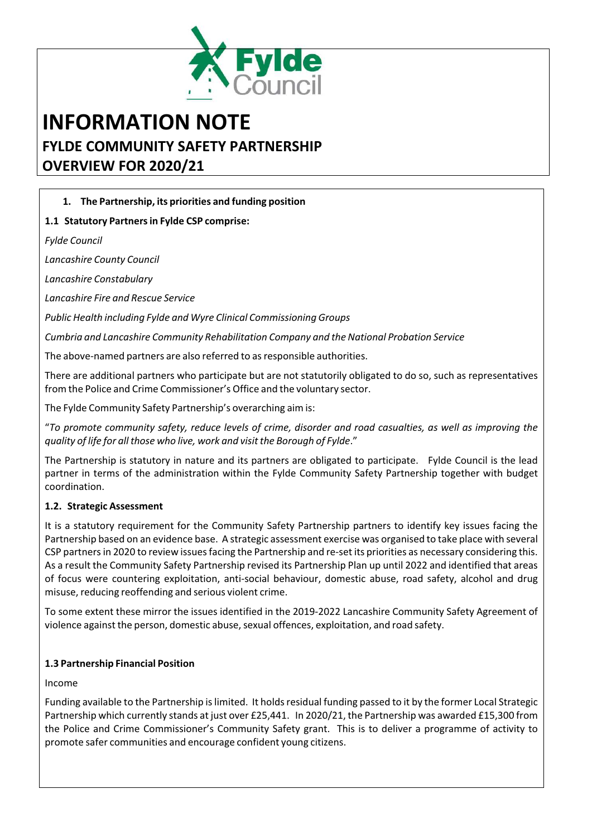

# **INFORMATION NOTE FYLDE COMMUNITY SAFETY PARTNERSHIP OVERVIEW FOR 2020/21**

# **1. The Partnership, its priorities and funding position**

## **1.1 Statutory Partnersin Fylde CSP comprise:**

*Fylde Council*

*Lancashire County Council*

*Lancashire Constabulary*

*Lancashire Fire and Rescue Service*

*Public Health including Fylde and Wyre Clinical Commissioning Groups*

*Cumbria and Lancashire Community Rehabilitation Company and the National Probation Service*

The above-named partners are also referred to as responsible authorities.

There are additional partners who participate but are not statutorily obligated to do so, such as representatives from the Police and Crime Commissioner's Office and the voluntary sector.

The Fylde Community Safety Partnership's overarching aim is:

"To promote community safety, reduce levels of crime, disorder and road casualties, as well as improving the *quality of life for all those who live, work and visit the Borough of Fylde*."

The Partnership is statutory in nature and its partners are obligated to participate. Fylde Council is the lead partner in terms of the administration within the Fylde Community Safety Partnership together with budget coordination.

## **1.2. Strategic Assessment**

It is a statutory requirement for the Community Safety Partnership partners to identify key issues facing the Partnership based on an evidence base. A strategic assessment exercise was organised to take place with several CSP partners in 2020 to review issues facing the Partnership and re-set its priorities as necessary considering this. As a result the Community Safety Partnership revised its Partnership Plan up until 2022 and identified that areas of focus were countering exploitation, anti‐social behaviour, domestic abuse, road safety, alcohol and drug misuse, reducing reoffending and serious violent crime.

To some extent these mirror the issues identified in the 2019‐2022 Lancashire Community Safety Agreement of violence against the person, domestic abuse, sexual offences, exploitation, and road safety.

## **1.3 Partnership Financial Position**

#### Income

Funding available to the Partnership islimited. It holdsresidual funding passed to it by the former Local Strategic Partnership which currently stands at just over £25,441. In 2020/21, the Partnership was awarded £15,300 from the Police and Crime Commissioner's Community Safety grant. This is to deliver a programme of activity to promote safer communities and encourage confident young citizens.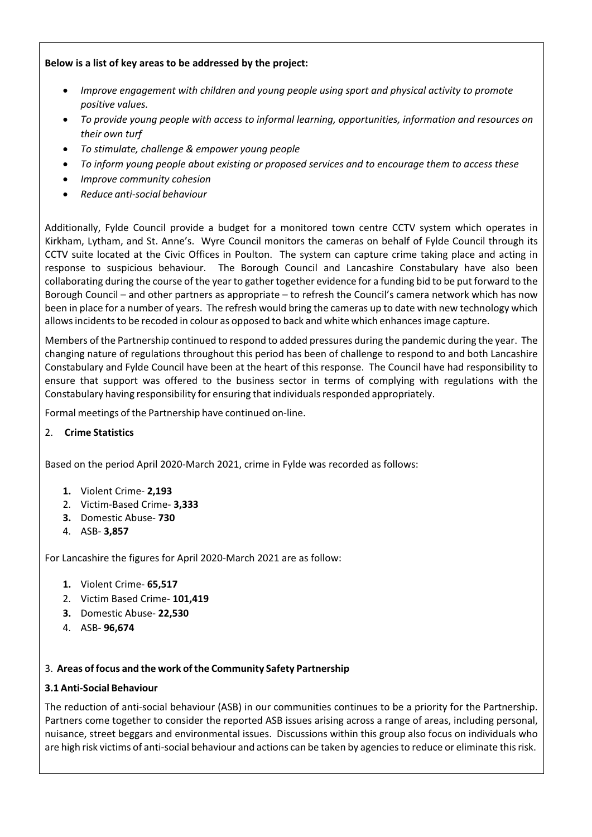## **Below is a list of key areas to be addressed by the project:**

- *Improve engagement with children and young people using sport and physical activity to promote positive values.*
- *To provide young people with access to informal learning, opportunities, information and resources on their own turf*
- *To stimulate, challenge & empower young people*
- *To inform young people about existing or proposed services and to encourage them to access these*
- *Improve community cohesion*
- *Reduce anti‐social behaviour*

Additionally, Fylde Council provide a budget for a monitored town centre CCTV system which operates in Kirkham, Lytham, and St. Anne's. Wyre Council monitors the cameras on behalf of Fylde Council through its CCTV suite located at the Civic Offices in Poulton. The system can capture crime taking place and acting in response to suspicious behaviour. The Borough Council and Lancashire Constabulary have also been collaborating during the course of the year to gather together evidence for a funding bid to be put forward to the Borough Council – and other partners as appropriate – to refresh the Council's camera network which has now been in place for a number of years. The refresh would bring the cameras up to date with new technology which allows incidents to be recoded in colour as opposed to back and white which enhances image capture.

Members of the Partnership continued to respond to added pressures during the pandemic during the year. The changing nature of regulations throughout this period has been of challenge to respond to and both Lancashire Constabulary and Fylde Council have been at the heart of this response. The Council have had responsibility to ensure that support was offered to the business sector in terms of complying with regulations with the Constabulary having responsibility for ensuring that individualsresponded appropriately.

Formal meetings of the Partnership have continued on‐line.

# 2. **Crime Statistics**

Based on the period April 2020‐March 2021, crime in Fylde was recorded as follows:

- **1.** Violent Crime‐ **2,193**
- 2. Victim‐Based Crime‐ **3,333**
- **3.** Domestic Abuse‐ **730**
- 4. ASB‐ **3,857**

For Lancashire the figures for April 2020‐March 2021 are as follow:

- **1.** Violent Crime‐ **65,517**
- 2. Victim Based Crime‐ **101,419**
- **3.** Domestic Abuse‐ **22,530**
- 4. ASB‐ **96,674**

## 3. **Areas of focus and the work ofthe Community Safety Partnership**

## **3.1 Anti‐Social Behaviour**

The reduction of anti‐social behaviour (ASB) in our communities continues to be a priority for the Partnership. Partners come together to consider the reported ASB issues arising across a range of areas, including personal, nuisance, street beggars and environmental issues. Discussions within this group also focus on individuals who are high risk victims of anti‐social behaviour and actions can be taken by agenciesto reduce or eliminate thisrisk.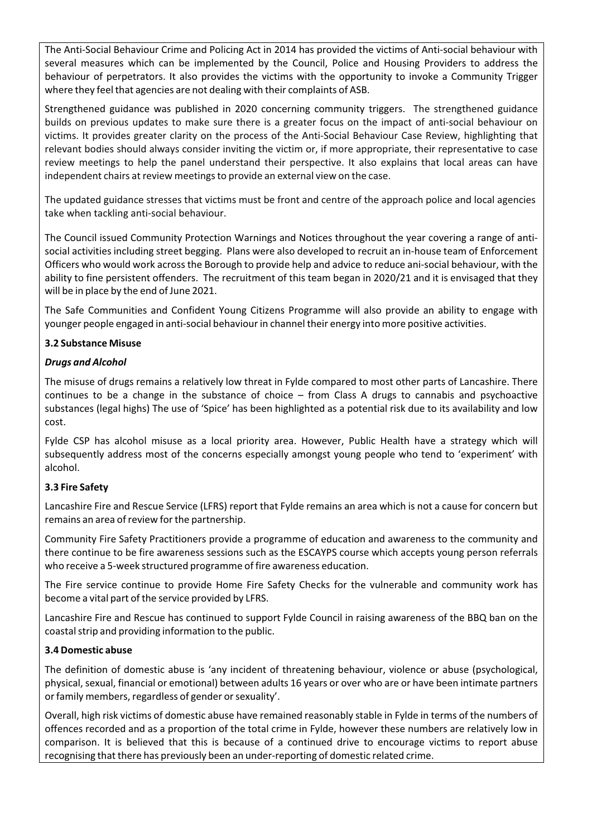The Anti‐Social Behaviour Crime and Policing Act in 2014 has provided the victims of Anti‐social behaviour with several measures which can be implemented by the Council, Police and Housing Providers to address the behaviour of perpetrators. It also provides the victims with the opportunity to invoke a Community Trigger where they feel that agencies are not dealing with their complaints of ASB.

Strengthened guidance was published in 2020 concerning community triggers. The strengthened guidance builds on previous updates to make sure there is a greater focus on the impact of anti‐social behaviour on victims. It provides greater clarity on the process of the Anti‐Social Behaviour Case Review, highlighting that relevant bodies should always consider inviting the victim or, if more appropriate, their representative to case review meetings to help the panel understand their perspective. It also explains that local areas can have independent chairs at review meetings to provide an external view on the case.

The updated guidance stresses that victims must be front and centre of the approach police and local agencies take when tackling anti‐social behaviour.

The Council issued Community Protection Warnings and Notices throughout the year covering a range of anti‐ social activities including street begging. Plans were also developed to recruit an in‐house team of Enforcement Officers who would work acrossthe Borough to provide help and advice to reduce ani‐social behaviour, with the ability to fine persistent offenders. The recruitment of this team began in 2020/21 and it is envisaged that they will be in place by the end of June 2021.

The Safe Communities and Confident Young Citizens Programme will also provide an ability to engage with younger people engaged in anti-social behaviour in channel their energy into more positive activities.

## **3.2 Substance Misuse**

#### *Drugs and Alcohol*

The misuse of drugs remains a relatively low threat in Fylde compared to most other parts of Lancashire. There continues to be a change in the substance of choice – from Class A drugs to cannabis and psychoactive substances (legal highs) The use of 'Spice' has been highlighted as a potential risk due to its availability and low cost.

Fylde CSP has alcohol misuse as a local priority area. However, Public Health have a strategy which will subsequently address most of the concerns especially amongst young people who tend to 'experiment' with alcohol.

#### **3.3 Fire Safety**

Lancashire Fire and Rescue Service (LFRS) report that Fylde remains an area which is not a cause for concern but remains an area of review for the partnership.

Community Fire Safety Practitioners provide a programme of education and awareness to the community and there continue to be fire awareness sessions such as the ESCAYPS course which accepts young person referrals who receive a 5‐week structured programme of fire awareness education.

The Fire service continue to provide Home Fire Safety Checks for the vulnerable and community work has become a vital part of the service provided by LFRS.

Lancashire Fire and Rescue has continued to support Fylde Council in raising awareness of the BBQ ban on the coastal strip and providing information to the public.

#### **3.4 Domestic abuse**

The definition of domestic abuse is 'any incident of threatening behaviour, violence or abuse (psychological, physical, sexual, financial or emotional) between adults 16 years or over who are or have been intimate partners or family members, regardless of gender or sexuality'.

Overall, high risk victims of domestic abuse have remained reasonably stable in Fylde in terms of the numbers of offences recorded and as a proportion of the total crime in Fylde, however these numbers are relatively low in comparison. It is believed that this is because of a continued drive to encourage victims to report abuse recognising that there has previously been an under‐reporting of domestic related crime.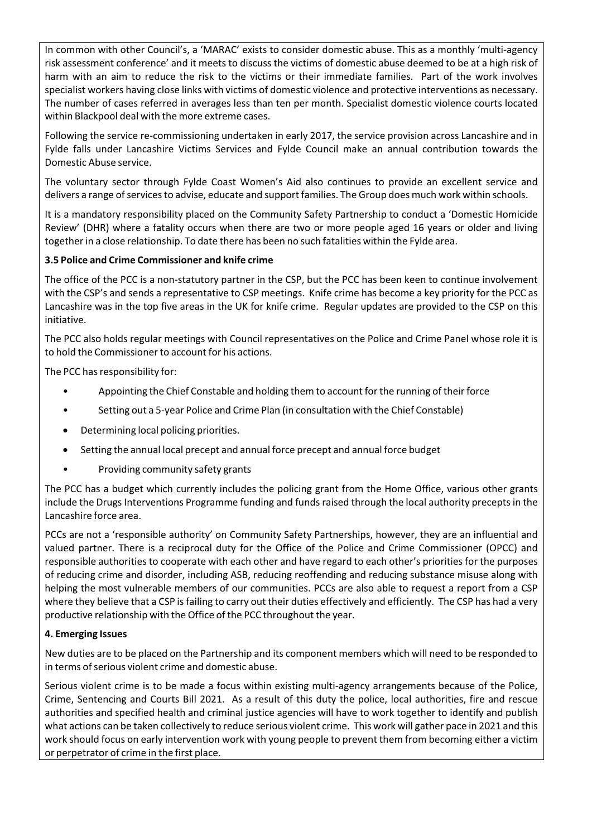In common with other Council's, a 'MARAC' exists to consider domestic abuse. This as a monthly 'multi‐agency risk assessment conference' and it meets to discuss the victims of domestic abuse deemed to be at a high risk of harm with an aim to reduce the risk to the victims or their immediate families. Part of the work involves specialist workers having close links with victims of domestic violence and protective interventions as necessary. The number of cases referred in averages less than ten per month. Specialist domestic violence courts located within Blackpool deal with the more extreme cases.

Following the service re-commissioning undertaken in early 2017, the service provision across Lancashire and in Fylde falls under Lancashire Victims Services and Fylde Council make an annual contribution towards the Domestic Abuse service.

The voluntary sector through Fylde Coast Women's Aid also continues to provide an excellent service and delivers a range of services to advise, educate and support families. The Group does much work within schools.

It is a mandatory responsibility placed on the Community Safety Partnership to conduct a 'Domestic Homicide Review' (DHR) where a fatality occurs when there are two or more people aged 16 years or older and living togetherin a close relationship. To date there has been no such fatalities within the Fylde area.

## **3.5 Police and Crime Commissioner and knife crime**

The office of the PCC is a non-statutory partner in the CSP, but the PCC has been keen to continue involvement with the CSP's and sends a representative to CSP meetings. Knife crime has become a key priority for the PCC as Lancashire was in the top five areas in the UK for knife crime. Regular updates are provided to the CSP on this initiative.

The PCC also holds regular meetings with Council representatives on the Police and Crime Panel whose role it is to hold the Commissioner to account for his actions.

The PCC has responsibility for:

- Appointing the Chief Constable and holding them to account for the running of their force
- Setting out a 5‐year Police and Crime Plan (in consultation with the Chief Constable)
- Determining local policing priorities.
- Setting the annual local precept and annual force precept and annual force budget
- Providing community safety grants

The PCC has a budget which currently includes the policing grant from the Home Office, various other grants include the Drugs Interventions Programme funding and funds raised through the local authority precepts in the Lancashire force area.

PCCs are not a 'responsible authority' on Community Safety Partnerships, however, they are an influential and valued partner. There is a reciprocal duty for the Office of the Police and Crime Commissioner (OPCC) and responsible authorities to cooperate with each other and have regard to each other's priorities for the purposes of reducing crime and disorder, including ASB, reducing reoffending and reducing substance misuse along with helping the most vulnerable members of our communities. PCCs are also able to request a report from a CSP where they believe that a CSP is failing to carry out their duties effectively and efficiently. The CSP has had a very productive relationship with the Office of the PCC throughout the year.

#### **4. Emerging Issues**

New duties are to be placed on the Partnership and its component members which will need to be responded to in terms of serious violent crime and domestic abuse.

Serious violent crime is to be made a focus within existing multi‐agency arrangements because of the Police, Crime, Sentencing and Courts Bill 2021. As a result of this duty the police, local authorities, fire and rescue authorities and specified health and criminal justice agencies will have to work together to identify and publish what actions can be taken collectively to reduce serious violent crime. This work will gather pace in 2021 and this work should focus on early intervention work with young people to prevent them from becoming either a victim or perpetrator of crime in the first place.